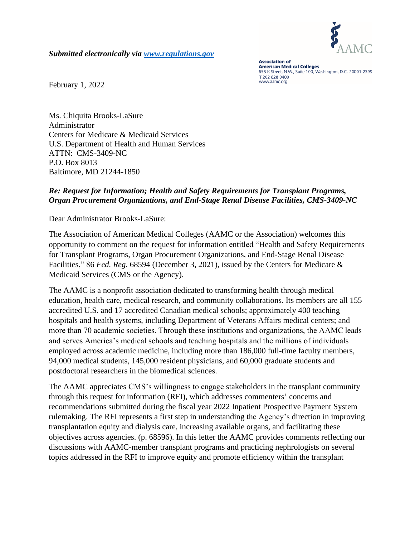

*Submitted electronically via [www.regulations.gov](http://www.regulations.gov/)*

**Association of American Medical Colleges** 655 K Street, N.W., Suite 100, Washington, D.C. 20001-2399 T 202 828 0400 www.aamc.org

February 1, 2022

Ms. Chiquita Brooks-LaSure Administrator Centers for Medicare & Medicaid Services U.S. Department of Health and Human Services ATTN: CMS-3409-NC P.O. Box 8013 Baltimore, MD 21244-1850

#### *Re: Request for Information; Health and Safety Requirements for Transplant Programs, Organ Procurement Organizations, and End-Stage Renal Disease Facilities, CMS-3409-NC*

Dear Administrator Brooks-LaSure:

The Association of American Medical Colleges (AAMC or the Association) welcomes this opportunity to comment on the request for information entitled "Health and Safety Requirements for Transplant Programs, Organ Procurement Organizations, and End-Stage Renal Disease Facilities," 86 *Fed. Reg*. 68594 (December 3, 2021), issued by the Centers for Medicare & Medicaid Services (CMS or the Agency).

The AAMC is a nonprofit association dedicated to transforming health through medical education, health care, medical research, and community collaborations. Its members are all 155 accredited U.S. and 17 accredited Canadian medical schools; approximately 400 teaching hospitals and health systems, including Department of Veterans Affairs medical centers; and more than 70 academic societies. Through these institutions and organizations, the AAMC leads and serves America's medical schools and teaching hospitals and the millions of individuals employed across academic medicine, including more than 186,000 full-time faculty members, 94,000 medical students, 145,000 resident physicians, and 60,000 graduate students and postdoctoral researchers in the biomedical sciences.

The AAMC appreciates CMS's willingness to engage stakeholders in the transplant community through this request for information (RFI), which addresses commenters' concerns and recommendations submitted during the fiscal year 2022 Inpatient Prospective Payment System rulemaking. The RFI represents a first step in understanding the Agency's direction in improving transplantation equity and dialysis care, increasing available organs, and facilitating these objectives across agencies. (p. 68596). In this letter the AAMC provides comments reflecting our discussions with AAMC-member transplant programs and practicing nephrologists on several topics addressed in the RFI to improve equity and promote efficiency within the transplant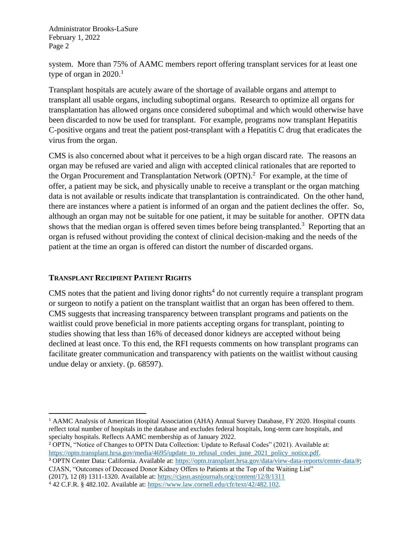system. More than 75% of AAMC members report offering transplant services for at least one type of organ in  $2020$ .<sup>1</sup>

Transplant hospitals are acutely aware of the shortage of available organs and attempt to transplant all usable organs, including suboptimal organs. Research to optimize all organs for transplantation has allowed organs once considered suboptimal and which would otherwise have been discarded to now be used for transplant. For example, programs now transplant Hepatitis C-positive organs and treat the patient post-transplant with a Hepatitis C drug that eradicates the virus from the organ.

CMS is also concerned about what it perceives to be a high organ discard rate. The reasons an organ may be refused are varied and align with accepted clinical rationales that are reported to the Organ Procurement and Transplantation Network (OPTN).<sup>2</sup> For example, at the time of offer, a patient may be sick, and physically unable to receive a transplant or the organ matching data is not available or results indicate that transplantation is contraindicated. On the other hand, there are instances where a patient is informed of an organ and the patient declines the offer. So, although an organ may not be suitable for one patient, it may be suitable for another. OPTN data shows that the median organ is offered seven times before being transplanted.<sup>3</sup> Reporting that an organ is refused without providing the context of clinical decision-making and the needs of the patient at the time an organ is offered can distort the number of discarded organs.

#### **TRANSPLANT RECIPIENT PATIENT RIGHTS**

CMS notes that the patient and living donor rights<sup>4</sup> do not currently require a transplant program or surgeon to notify a patient on the transplant waitlist that an organ has been offered to them. CMS suggests that increasing transparency between transplant programs and patients on the waitlist could prove beneficial in more patients accepting organs for transplant, pointing to studies showing that less than 16% of deceased donor kidneys are accepted without being declined at least once. To this end, the RFI requests comments on how transplant programs can facilitate greater communication and transparency with patients on the waitlist without causing undue delay or anxiety. (p. 68597).

<sup>&</sup>lt;sup>1</sup> AAMC Analysis of American Hospital Association (AHA) Annual Survey Database, FY 2020. Hospital counts reflect total number of hospitals in the database and excludes federal hospitals, long-term care hospitals, and specialty hospitals. Reflects AAMC membership as of January 2022.

<sup>&</sup>lt;sup>2</sup> OPTN, "Notice of Changes to OPTN Data Collection: Update to Refusal Codes" (2021). Available at: [https://optn.transplant.hrsa.gov/media/4695/update\\_to\\_refusal\\_codes\\_june\\_2021\\_policy\\_notice.pdf.](https://optn.transplant.hrsa.gov/media/4695/update_to_refusal_codes_june_2021_policy_notice.pdf)

<sup>&</sup>lt;sup>3</sup> OPTN Center Data: California. Available at: [https://optn.transplant.hrsa.gov/data/view-data-reports/center-data/#;](https://optn.transplant.hrsa.gov/data/view-data-reports/center-data/) CJASN, "Outcomes of Deceased Donor Kidney Offers to Patients at the Top of the Waiting List"

<sup>(2017), 12</sup> (8) 1311-1320. Available at:<https://cjasn.asnjournals.org/content/12/8/1311>  $4$  42 C.F.R. § 482.102. Available at: [https://www.law.cornell.edu/cfr/text/42/482.102.](https://www.law.cornell.edu/cfr/text/42/482.102)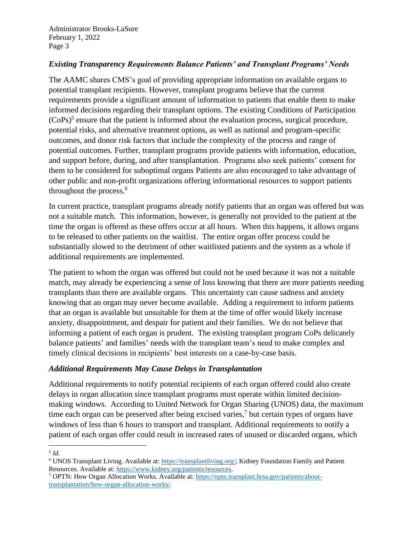## *Existing Transparency Requirements Balance Patients' and Transplant Programs' Needs*

The AAMC shares CMS's goal of providing appropriate information on available organs to potential transplant recipients. However, transplant programs believe that the current requirements provide a significant amount of information to patients that enable them to make informed decisions regarding their transplant options. The existing Conditions of Participation  $(CoPs)^5$  ensure that the patient is informed about the evaluation process, surgical procedure, potential risks, and alternative treatment options, as well as national and program-specific outcomes, and donor risk factors that include the complexity of the process and range of potential outcomes. Further, transplant programs provide patients with information, education, and support before, during, and after transplantation. Programs also seek patients' consent for them to be considered for suboptimal organs Patients are also encouraged to take advantage of other public and non-profit organizations offering informational resources to support patients throughout the process.<sup>6</sup>

In current practice, transplant programs already notify patients that an organ was offered but was not a suitable match. This information, however, is generally not provided to the patient at the time the organ is offered as these offers occur at all hours. When this happens, it allows organs to be released to other patients on the waitlist. The entire organ offer process could be substantially slowed to the detriment of other waitlisted patients and the system as a whole if additional requirements are implemented.

The patient to whom the organ was offered but could not be used because it was not a suitable match, may already be experiencing a sense of loss knowing that there are more patients needing transplants than there are available organs. This uncertainty can cause sadness and anxiety knowing that an organ may never become available. Adding a requirement to inform patients that an organ is available but unsuitable for them at the time of offer would likely increase anxiety, disappointment, and despair for patient and their families. We do not believe that informing a patient of each organ is prudent. The existing transplant program CoPs delicately balance patients' and families' needs with the transplant team's need to make complex and timely clinical decisions in recipients' best interests on a case-by-case basis.

#### *Additional Requirements May Cause Delays in Transplantation*

Additional requirements to notify potential recipients of each organ offered could also create delays in organ allocation since transplant programs must operate within limited decisionmaking windows. According to United Network for Organ Sharing (UNOS) data, the maximum time each organ can be preserved after being excised varies, 7 but certain types of organs have windows of less than 6 hours to transport and transplant. Additional requirements to notify a patient of each organ offer could result in increased rates of unused or discarded organs, which

<sup>5</sup> *Id.* 

<sup>6</sup> UNOS Transplant Living. Available at: [https://transplantliving.org/;](https://transplantliving.org/) Kidney Foundation Family and Patient Resources. Available at: [https://www.kidney.org/patients/resources.](https://www.kidney.org/patients/resources)

<sup>7</sup> OPTN: How Organ Allocation Works. Available at: [https://optn.transplant.hrsa.gov/patients/about](https://optn.transplant.hrsa.gov/patients/about-transplantation/how-organ-allocation-works/)[transplantation/how-organ-allocation-works/.](https://optn.transplant.hrsa.gov/patients/about-transplantation/how-organ-allocation-works/)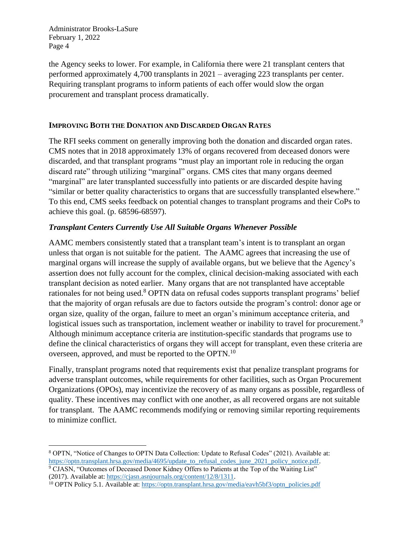the Agency seeks to lower. For example, in California there were 21 transplant centers that performed approximately 4,700 transplants in 2021 – averaging 223 transplants per center. Requiring transplant programs to inform patients of each offer would slow the organ procurement and transplant process dramatically.

#### **IMPROVING BOTH THE DONATION AND DISCARDED ORGAN RATES**

The RFI seeks comment on generally improving both the donation and discarded organ rates. CMS notes that in 2018 approximately 13% of organs recovered from deceased donors were discarded, and that transplant programs "must play an important role in reducing the organ discard rate" through utilizing "marginal" organs. CMS cites that many organs deemed "marginal" are later transplanted successfully into patients or are discarded despite having "similar or better quality characteristics to organs that are successfully transplanted elsewhere." To this end, CMS seeks feedback on potential changes to transplant programs and their CoPs to achieve this goal. (p. 68596-68597).

## *Transplant Centers Currently Use All Suitable Organs Whenever Possible*

AAMC members consistently stated that a transplant team's intent is to transplant an organ unless that organ is not suitable for the patient. The AAMC agrees that increasing the use of marginal organs will increase the supply of available organs, but we believe that the Agency's assertion does not fully account for the complex, clinical decision-making associated with each transplant decision as noted earlier. Many organs that are not transplanted have acceptable rationales for not being used.<sup>8</sup> OPTN data on refusal codes supports transplant programs' belief that the majority of organ refusals are due to factors outside the program's control: donor age or organ size, quality of the organ, failure to meet an organ's minimum acceptance criteria, and logistical issues such as transportation, inclement weather or inability to travel for procurement.<sup>9</sup> Although minimum acceptance criteria are institution-specific standards that programs use to define the clinical characteristics of organs they will accept for transplant, even these criteria are overseen, approved, and must be reported to the OPTN.<sup>10</sup>

Finally, transplant programs noted that requirements exist that penalize transplant programs for adverse transplant outcomes, while requirements for other facilities, such as Organ Procurement Organizations (OPOs), may incentivize the recovery of as many organs as possible, regardless of quality. These incentives may conflict with one another, as all recovered organs are not suitable for transplant. The AAMC recommends modifying or removing similar reporting requirements to minimize conflict.

<sup>9</sup> CJASN, "Outcomes of Deceased Donor Kidney Offers to Patients at the Top of the Waiting List" (2017). Available at[: https://cjasn.asnjournals.org/content/12/8/1311.](https://cjasn.asnjournals.org/content/12/8/1311)

<sup>8</sup> OPTN, "Notice of Changes to OPTN Data Collection: Update to Refusal Codes" (2021). Available at: [https://optn.transplant.hrsa.gov/media/4695/update\\_to\\_refusal\\_codes\\_june\\_2021\\_policy\\_notice.pdf.](https://optn.transplant.hrsa.gov/media/4695/update_to_refusal_codes_june_2021_policy_notice.pdf)

<sup>&</sup>lt;sup>10</sup> OPTN Policy 5.1. Available at: [https://optn.transplant.hrsa.gov/media/eavh5bf3/optn\\_policies.pdf](https://optn.transplant.hrsa.gov/media/eavh5bf3/optn_policies.pdf)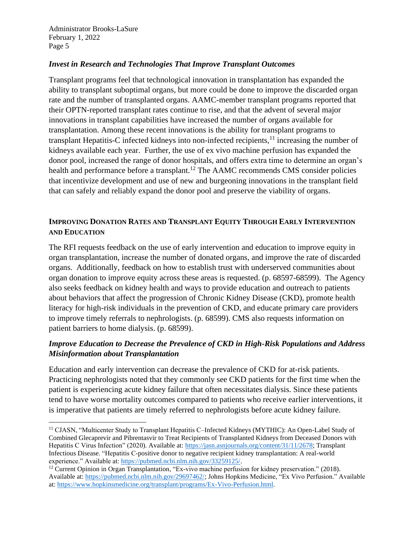## *Invest in Research and Technologies That Improve Transplant Outcomes*

Transplant programs feel that technological innovation in transplantation has expanded the ability to transplant suboptimal organs, but more could be done to improve the discarded organ rate and the number of transplanted organs. AAMC-member transplant programs reported that their OPTN-reported transplant rates continue to rise, and that the advent of several major innovations in transplant capabilities have increased the number of organs available for transplantation. Among these recent innovations is the ability for transplant programs to transplant Hepatitis-C infected kidneys into non-infected recipients,<sup>11</sup> increasing the number of kidneys available each year. Further, the use of ex vivo machine perfusion has expanded the donor pool, increased the range of donor hospitals, and offers extra time to determine an organ's health and performance before a transplant.<sup>12</sup> The AAMC recommends CMS consider policies that incentivize development and use of new and burgeoning innovations in the transplant field that can safely and reliably expand the donor pool and preserve the viability of organs.

## **IMPROVING DONATION RATES AND TRANSPLANT EQUITY THROUGH EARLY INTERVENTION AND EDUCATION**

The RFI requests feedback on the use of early intervention and education to improve equity in organ transplantation, increase the number of donated organs, and improve the rate of discarded organs. Additionally, feedback on how to establish trust with underserved communities about organ donation to improve equity across these areas is requested. (p. 68597-68599). The Agency also seeks feedback on kidney health and ways to provide education and outreach to patients about behaviors that affect the progression of Chronic Kidney Disease (CKD), promote health literacy for high-risk individuals in the prevention of CKD, and educate primary care providers to improve timely referrals to nephrologists. (p. 68599). CMS also requests information on patient barriers to home dialysis. (p. 68599).

# *Improve Education to Decrease the Prevalence of CKD in High-Risk Populations and Address Misinformation about Transplantation*

Education and early intervention can decrease the prevalence of CKD for at-risk patients. Practicing nephrologists noted that they commonly see CKD patients for the first time when the patient is experiencing acute kidney failure that often necessitates dialysis. Since these patients tend to have worse mortality outcomes compared to patients who receive earlier interventions, it is imperative that patients are timely referred to nephrologists before acute kidney failure.

<sup>&</sup>lt;sup>11</sup> CJASN, "Multicenter Study to Transplant Hepatitis C-Infected Kidneys (MYTHIC): An Open-Label Study of Combined Glecaprevir and Pibrentasvir to Treat Recipients of Transplanted Kidneys from Deceased Donors with Hepatitis C Virus Infection" (2020). Available at: [https://jasn.asnjournals.org/content/31/11/2678;](https://jasn.asnjournals.org/content/31/11/2678) Transplant Infectious Disease. "Hepatitis C-positive donor to negative recipient kidney transplantation: A real-world experience." Available at[: https://pubmed.ncbi.nlm.nih.gov/33259125/.](https://pubmed.ncbi.nlm.nih.gov/33259125/)

<sup>12</sup> Current Opinion in Organ Transplantation, "Ex-vivo machine perfusion for kidney preservation." (2018). Available at: [https://pubmed.ncbi.nlm.nih.gov/29697462/;](https://pubmed.ncbi.nlm.nih.gov/29697462/) Johns Hopkins Medicine, "Ex Vivo Perfusion." Available at: [https://www.hopkinsmedicine.org/transplant/programs/Ex-Vivo-Perfusion.html.](https://www.hopkinsmedicine.org/transplant/programs/Ex-Vivo-Perfusion.html)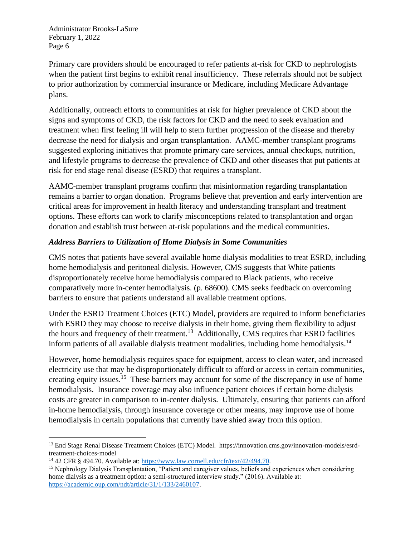Primary care providers should be encouraged to refer patients at-risk for CKD to nephrologists when the patient first begins to exhibit renal insufficiency. These referrals should not be subject to prior authorization by commercial insurance or Medicare, including Medicare Advantage plans.

Additionally, outreach efforts to communities at risk for higher prevalence of CKD about the signs and symptoms of CKD, the risk factors for CKD and the need to seek evaluation and treatment when first feeling ill will help to stem further progression of the disease and thereby decrease the need for dialysis and organ transplantation. AAMC-member transplant programs suggested exploring initiatives that promote primary care services, annual checkups, nutrition, and lifestyle programs to decrease the prevalence of CKD and other diseases that put patients at risk for end stage renal disease (ESRD) that requires a transplant.

AAMC-member transplant programs confirm that misinformation regarding transplantation remains a barrier to organ donation. Programs believe that prevention and early intervention are critical areas for improvement in health literacy and understanding transplant and treatment options. These efforts can work to clarify misconceptions related to transplantation and organ donation and establish trust between at-risk populations and the medical communities.

## *Address Barriers to Utilization of Home Dialysis in Some Communities*

CMS notes that patients have several available home dialysis modalities to treat ESRD, including home hemodialysis and peritoneal dialysis. However, CMS suggests that White patients disproportionately receive home hemodialysis compared to Black patients, who receive comparatively more in-center hemodialysis. (p. 68600). CMS seeks feedback on overcoming barriers to ensure that patients understand all available treatment options.

Under the ESRD Treatment Choices (ETC) Model, providers are required to inform beneficiaries with ESRD they may choose to receive dialysis in their home, giving them flexibility to adjust the hours and frequency of their treatment.<sup>13</sup> Additionally, CMS requires that ESRD facilities inform patients of all available dialysis treatment modalities, including home hemodialysis.<sup>14</sup>

However, home hemodialysis requires space for equipment, access to clean water, and increased electricity use that may be disproportionately difficult to afford or access in certain communities, creating equity issues.<sup>15</sup> These barriers may account for some of the discrepancy in use of home hemodialysis. Insurance coverage may also influence patient choices if certain home dialysis costs are greater in comparison to in-center dialysis. Ultimately, ensuring that patients can afford in-home hemodialysis, through insurance coverage or other means, may improve use of home hemodialysis in certain populations that currently have shied away from this option.

<sup>13</sup> End Stage Renal Disease Treatment Choices (ETC) Model. https://innovation.cms.gov/innovation-models/esrdtreatment-choices-model

<sup>14</sup> 42 CFR § 494.70. Available at: [https://www.law.cornell.edu/cfr/text/42/494.70.](https://www.law.cornell.edu/cfr/text/42/494.70)

<sup>&</sup>lt;sup>15</sup> Nephrology Dialysis Transplantation, "Patient and caregiver values, beliefs and experiences when considering home dialysis as a treatment option: a semi-structured interview study." (2016). Available at: [https://academic.oup.com/ndt/article/31/1/133/2460107.](https://academic.oup.com/ndt/article/31/1/133/2460107)